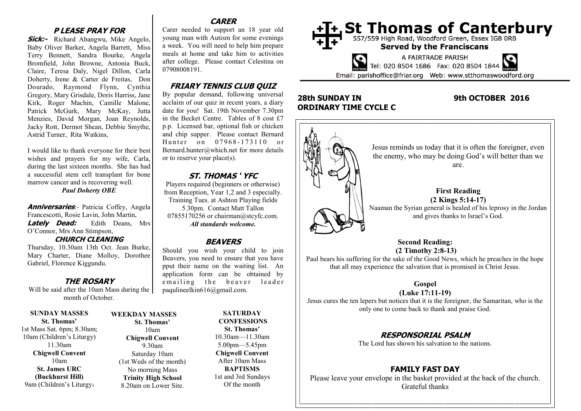# **P LEASE PRAY FOR**

**Sick:-** Richard Abangwu, Mike Angelo, Baby Oliver Barker, Angela Barrett, Miss Terry Bennett, Sandra Bourke, Angela Bromfield, John Browne, Antonia Buck, Claire, Teresa Daly, Nigel Dillon, Carla Doherty, Irene & Carter de Freitas, Don Dourado, Raymond Flynn, Cynthia Gregory, Mary Grisdale, Doris Harriss, Jane Kirk, Roger Machin, Camille Malone, Patrick McGurk, Mary McKay, Jutta Menzies, David Morgan, Joan Reynolds, Jacky Rott, Dermot Shean, Debbie Smythe, Astrid Turner, Rita Watkins,

I would like to thank everyone for their best wishes and prayers for my wife, Carla, during the last sixteen months. She has had a successful stem cell transplant for bone marrow cancer and is recovering well. *Paul Doherty OBE*

**Anniversaries**:- Patricia Coffey, Angela Francescotti, Rosie Lavin, John Martin, **Lately Dead:** Edith Deans, Mrs O'Connor, Mrs Ann Stimpson,

## **CHURCH CLEANING**

Thursday, 10.30am 13th Oct. Jean Burke, Mary Charter, Diane Molloy, Dorothee Gabriel, Florence Kiggundu.

# **THE ROSARY**

Will be said after the 10am Mass during the month of October.

**SUNDAY MASSES St. Thomas'** 1st Mass Sat. 6pm; 8.30am; 10am (Children's Liturgy) 11.30am **Chigwell Convent** 10am **St. James URC (Buckhurst Hill)** 9am (Children's Liturgy)

#### **WEEKDAY MASSES St. Thomas'** 10am **Chigwell Convent** 9.30am Saturday 10am (1st Weds of the month) No morning Mass **Trinity High School** 8.20am on Lower Site.

# **CARER**

Carer needed to support an 18 year old young man with Autism for some evenings a week. You will need to help him prepare meals at home and take him to activities after college. Please contact Celestina on 07908008191.

# **FRIARY TENNIS CLUB QUIZ**

By popular demand, following universal acclaim of our quiz in recent years, a diary date for you! Sat. 19th November 7.30pm in the Becket Centre. Tables of 8 cost £7 p.p. Licensed bar, optional fish or chicken and chip supper. Please contact Bernard Hunter on 07968-173110 or Bernard.hunter@which.net for more details or to reserve your place(s).

# **ST. THOMAS ' YFC**

Players required (beginners or otherwise) from Reception, Year 1,2 and 3 especially. Training Tues. at Ashton Playing fields 5.30pm. Contact Matt Tallon 07855170256 or chairman@stcyfc.com. *All standards welcome.* 

# **BEAVERS**

Should you wish your child to join Beavers, you need to ensure that you have pput their name on the waiting list. An application form can be obtained by emailing the beaver leader paqulineelkin616@gmail.com.

> **SATURDAY CONFESSIONS St. Thomas'** 10.30am—11.30am 5.00pm—5.45pm **Chigwell Convent** After 10am Mass **BAPTISMS** 1st and 3rd Sundays Of the month



# **28th SUNDAY IN 9th OCTOBER 2016 ORDINARY TIME CYCLE C**



Paul bears his suffering for the sake of the Good News, which he preaches in the hope that all may experience the salvation that is promised in Christ Jesus.

# **Gospel**

**(Luke 17:11-19)** Jesus cures the ten lepers but notices that it is the foreigner, the Samaritan, who is the only one to come back to thank and praise God.

# **RESPONSORIAL PSALM**

The Lord has shown his salvation to the nations.

# **FAMILY FAST DAY**

Please leave your envelope in the basket provided at the back of the church. Grateful thanks